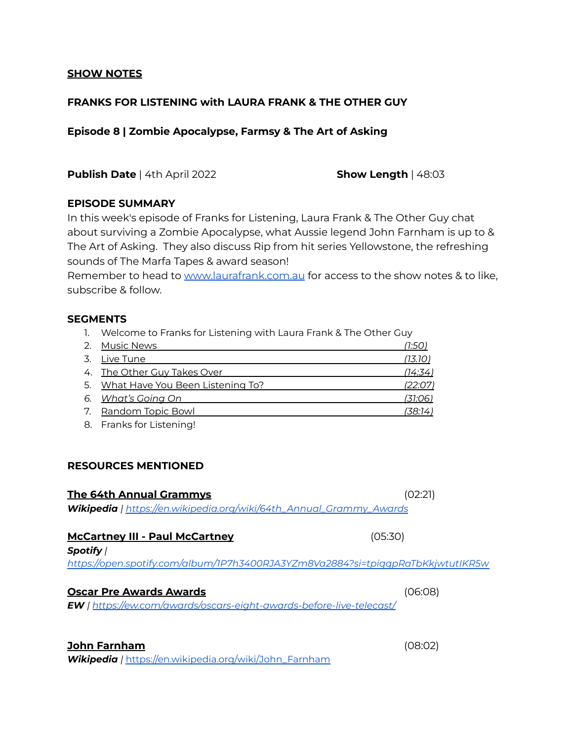#### **SHOW NOTES**

# **FRANKS FOR LISTENING with LAURA FRANK & THE OTHER GUY**

## **Episode 8 | Zombie Apocalypse, Farmsy & The Art of Asking**

**Publish Date** | 4th April 2022 **Show Length** | 48:03

## **EPISODE SUMMARY**

In this week's episode of Franks for Listening, Laura Frank & The Other Guy chat about surviving a Zombie Apocalypse, what Aussie legend John Farnham is up to & The Art of Asking. They also discuss Rip from hit series Yellowstone, the refreshing sounds of The Marfa Tapes & award season!

Remember to head to [www.laurafrank.com.au](http://www.laurafrank.com.au) for access to the show notes & to like, subscribe & follow.

## **SEGMENTS**

1. Welcome to Franks for Listening with Laura Frank & The Other Guy

| 2. Music News                       | 1:50 i  |
|-------------------------------------|---------|
| 3. Live Tune                        | (13.10) |
| 4. The Other Guy Takes Over         | (14:34) |
| 5. What Have You Been Listening To? | (22:07) |
| 6. What's Going On                  | (31:06) |
| 7. Random Topic Bowl                | (38:14) |
|                                     |         |

8. Franks for Listening!

## **RESOURCES MENTIONED**

#### **The 64th Annual Grammys** (02:21)

*Wikipedia | https:/ [en.wikipedia.org/wiki/64th\\_Annual\\_Grammy\\_Awards](https://en.wikipedia.org/wiki/64th_Annual_Grammy_Awards)*

#### **McCartney III - Paul McCartney** (05:30)

*Spotify | https:/ [open.spotify.com/album/1P7h3400RJA3YZm8Va2884?si=tpiqqpRaTbKkjwtutIKR5w](https://open.spotify.com/album/1P7h3400RJA3YZm8Va2884?si=tpiqqpRaTbKkjwtutIKR5w)*

#### **Oscar Pre Awards Awards** (06:08)

*EW | https:/ [ew.com/awards/oscars-eight-awards-before-live-telecast/](https://ew.com/awards/oscars-eight-awards-before-live-telecast/)*

## **John Farnham** (08:02)

*Wikipedia |* [https://en.wikipedia.org/wiki/John\\_Farnham](https://en.wikipedia.org/wiki/John_Farnham)